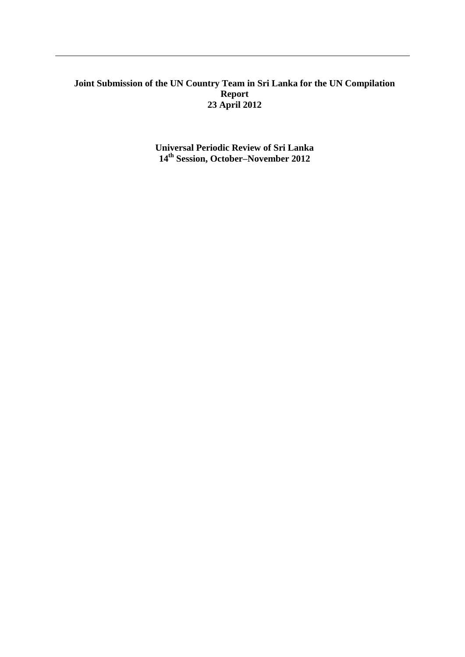# **Joint Submission of the UN Country Team in Sri Lanka for the UN Compilation Report 23 April 2012**

**Universal Periodic Review of Sri Lanka 14th Session, October–November 2012**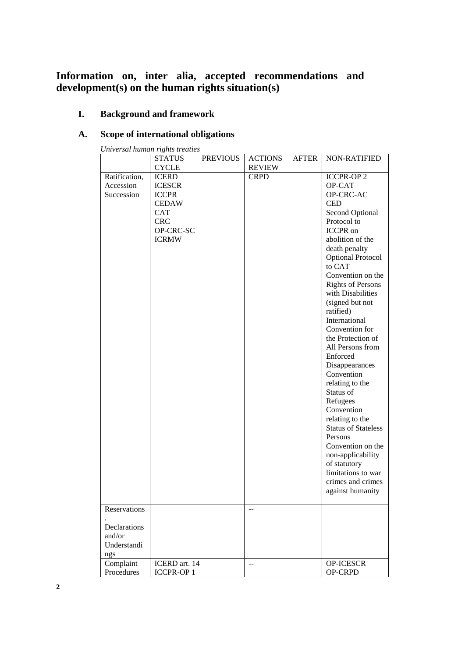# **Information on, inter alia, accepted recommendations and development(s) on the human rights situation(s)**

# **I. Background and framework**

# **A. Scope of international obligations**

| Universal human rights treaties |  |  |
|---------------------------------|--|--|
|                                 |  |  |

|                                              | <b>STATUS</b>                                                                                                          | <b>PREVIOUS</b> | <b>ACTIONS</b> | <b>AFTER</b> | <b>NON-RATIFIED</b>                                                                                                                                                                                                                                                                                                                                                                                                                                                                                                                                                                                                                                         |
|----------------------------------------------|------------------------------------------------------------------------------------------------------------------------|-----------------|----------------|--------------|-------------------------------------------------------------------------------------------------------------------------------------------------------------------------------------------------------------------------------------------------------------------------------------------------------------------------------------------------------------------------------------------------------------------------------------------------------------------------------------------------------------------------------------------------------------------------------------------------------------------------------------------------------------|
|                                              | <b>CYCLE</b>                                                                                                           |                 | <b>REVIEW</b>  |              |                                                                                                                                                                                                                                                                                                                                                                                                                                                                                                                                                                                                                                                             |
| Ratification,<br>Accession<br>Succession     | <b>ICERD</b><br><b>ICESCR</b><br><b>ICCPR</b><br><b>CEDAW</b><br><b>CAT</b><br><b>CRC</b><br>OP-CRC-SC<br><b>ICRMW</b> |                 | <b>CRPD</b>    |              | <b>ICCPR-OP2</b><br>OP-CAT<br>OP-CRC-AC<br><b>CED</b><br>Second Optional<br>Protocol to<br><b>ICCPR</b> on<br>abolition of the<br>death penalty<br>Optional Protocol<br>to CAT<br>Convention on the<br><b>Rights of Persons</b><br>with Disabilities<br>(signed but not<br>ratified)<br>International<br>Convention for<br>the Protection of<br>All Persons from<br>Enforced<br>Disappearances<br>Convention<br>relating to the<br>Status of<br>Refugees<br>Convention<br>relating to the<br><b>Status of Stateless</b><br>Persons<br>Convention on the<br>non-applicability<br>of statutory<br>limitations to war<br>crimes and crimes<br>against humanity |
| Reservations                                 |                                                                                                                        |                 |                |              |                                                                                                                                                                                                                                                                                                                                                                                                                                                                                                                                                                                                                                                             |
| Declarations<br>and/or<br>Understandi<br>ngs |                                                                                                                        |                 |                |              |                                                                                                                                                                                                                                                                                                                                                                                                                                                                                                                                                                                                                                                             |
| Complaint<br>Procedures                      | ICERD art. 14<br><b>ICCPR-OP1</b>                                                                                      |                 | $-$            |              | OP-ICESCR<br>OP-CRPD                                                                                                                                                                                                                                                                                                                                                                                                                                                                                                                                                                                                                                        |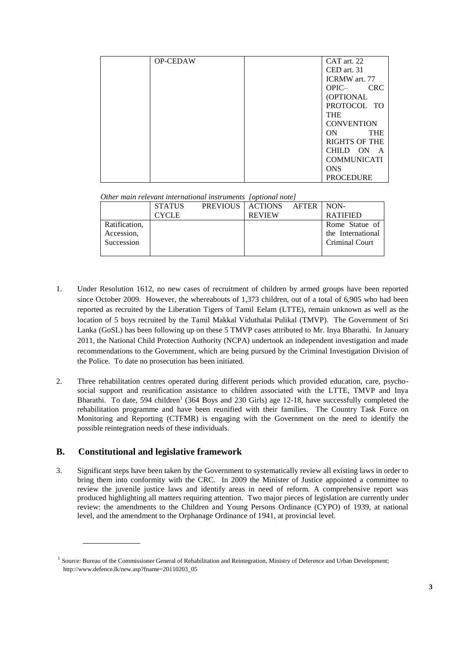| <b>OP-CEDAW</b> | CAT art. 22           |
|-----------------|-----------------------|
|                 | CED art. 31           |
|                 | <b>ICRMW</b> art. 77  |
|                 | <b>CRC</b><br>$OPIC-$ |
|                 | (OPTIONAL             |
|                 | PROTOCOL TO           |
|                 | <b>THE</b>            |
|                 | <b>CONVENTION</b>     |
|                 | ON<br><b>THE</b>      |
|                 | <b>RIGHTS OF THE</b>  |
|                 | CHILD ON A            |
|                 | <b>COMMUNICATI</b>    |
|                 | <b>ONS</b>            |
|                 | <b>PROCEDURE</b>      |

*Other main relevant international instruments [optional note]*

|               | <b>STATUS</b> | PREVIOUS   ACTIONS AFTER   NON- |                       |
|---------------|---------------|---------------------------------|-----------------------|
|               | CYCLE         | <b>REVIEW</b>                   | <b>RATIFIED</b>       |
| Ratification. |               |                                 | Rome Statue of        |
| Accession,    |               |                                 | the International     |
| Succession    |               |                                 | <b>Criminal Court</b> |
|               |               |                                 |                       |

- 1. Under Resolution 1612, no new cases of recruitment of children by armed groups have been reported since October 2009. However, the whereabouts of 1,373 children, out of a total of 6,905 who had been reported as recruited by the Liberation Tigers of Tamil Eelam (LTTE), remain unknown as well as the location of 5 boys recruited by the Tamil Makkal Viduthalai Pulikal (TMVP). The Government of Sri Lanka (GoSL) has been following up on these 5 TMVP cases attributed to Mr. Inya Bharathi. In January 2011, the National Child Protection Authority (NCPA) undertook an independent investigation and made recommendations to the Government, which are being pursued by the Criminal Investigation Division of the Police. To date no prosecution has been initiated.
- 2. Three rehabilitation centres operated during different periods which provided education, care, psychosocial support and reunification assistance to children associated with the LTTE, TMVP and Inya Bharathi. To date, 594 children<sup>1</sup> (364 Boys and 230 Girls) age 12-18, have successfully completed the rehabilitation programme and have been reunified with their families. The Country Task Force on Monitoring and Reporting (CTFMR) is engaging with the Government on the need to identify the possible reintegration needs of these individuals.

## **B. Constitutional and legislative framework**

3. Significant steps have been taken by the Government to systematically review all existing laws in order to bring them into conformity with the CRC. In 2009 the Minister of Justice appointed a committee to review the juvenile justice laws and identify areas in need of reform. A comprehensive report was produced highlighting all matters requiring attention. Two major pieces of legislation are currently under review: the amendments to the Children and Young Persons Ordinance (CYPO) of 1939, at national level, and the amendment to the Orphanage Ordinance of 1941, at provincial level.

<sup>&</sup>lt;sup>1</sup> Source: Bureau of the Commissioner General of Rehabilitation and Reintegration, Ministry of Deference and Urban Development; http://www.defence.lk/new.asp?fname=20110203\_05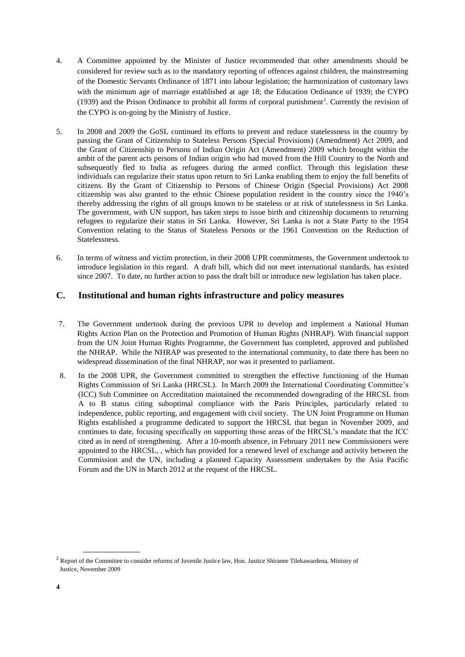- 4. A Committee appointed by the Minister of Justice recommended that other amendments should be considered for review such as to the mandatory reporting of offences against children, the mainstreaming of the Domestic Servants Ordinance of 1871 into labour legislation; the harmonization of customary laws with the minimum age of marriage established at age 18; the Education Ordinance of 1939; the CYPO  $(1939)$  and the Prison Ordinance to prohibit all forms of corporal punishment<sup>2</sup>. Currently the revision of the CYPO is on-going by the Ministry of Justice.
- 5. In 2008 and 2009 the GoSL continued its efforts to prevent and reduce statelessness in the country by passing the Grant of Citizenship to Stateless Persons (Special Provisions) (Amendment) Act 2009, and the Grant of Citizenship to Persons of Indian Origin Act (Amendment) 2009 which brought within the ambit of the parent acts persons of Indian origin who had moved from the Hill Country to the North and subsequently fled to India as refugees during the armed conflict. Through this legislation these individuals can regularize their status upon return to Sri Lanka enabling them to enjoy the full benefits of citizens. By the Grant of Citizenship to Persons of Chinese Origin (Special Provisions) Act 2008 citizenship was also granted to the ethnic Chinese population resident in the country since the 1940"s thereby addressing the rights of all groups known to be stateless or at risk of statelessness in Sri Lanka. The government, with UN support, has taken steps to issue birth and citizenship documents to returning refugees to regularize their status in Sri Lanka. However, Sri Lanka is not a State Party to the 1954 Convention relating to the Status of Stateless Persons or the 1961 Convention on the Reduction of Statelessness.
- 6. In terms of witness and victim protection, in their 2008 UPR commitments, the Government undertook to introduce legislation in this regard. A draft bill, which did not meet international standards, has existed since 2007. To date, no further action to pass the draft bill or introduce new legislation has taken place.

## **C. Institutional and human rights infrastructure and policy measures**

- 7. The Government undertook during the previous UPR to develop and implement a National Human Rights Action Plan on the Protection and Promotion of Human Rights (NHRAP). With financial support from the UN Joint Human Rights Programme, the Government has completed, approved and published the NHRAP. While the NHRAP was presented to the international community, to date there has been no widespread dissemination of the final NHRAP, nor was it presented to parliament.
- 8. In the 2008 UPR, the Government committed to strengthen the effective functioning of the Human Rights Commission of Sri Lanka (HRCSL). In March 2009 the International Coordinating Committee"s (ICC) Sub Committee on Accreditation maintained the recommended downgrading of the HRCSL from A to B status citing suboptimal compliance with the Paris Principles, particularly related to independence, public reporting, and engagement with civil society. The UN Joint Programme on Human Rights established a programme dedicated to support the HRCSL that began in November 2009, and continues to date, focusing specifically on supporting those areas of the HRCSL"s mandate that the ICC cited as in need of strengthening. After a 10-month absence, in February 2011 new Commissioners were appointed to the HRCSL, , which has provided for a renewed level of exchange and activity between the Commission and the UN, including a planned Capacity Assessment undertaken by the Asia Pacific Forum and the UN in March 2012 at the request of the HRCSL.

<sup>&</sup>lt;sup>2</sup> Report of the Committee to consider reforms of Juvenile Justice law, Hon. Justice Shiranee Tilekawardena, Ministry of Justice, November 2009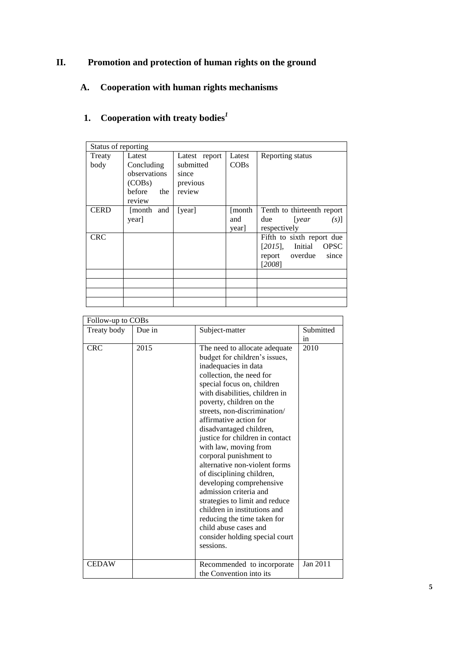# **II. Promotion and protection of human rights on the ground**

# **A. Cooperation with human rights mechanisms**

# **1. Cooperation with treaty bodies***<sup>1</sup>*

| Status of reporting |                                                                           |                                                           |                        |                                                                                                        |
|---------------------|---------------------------------------------------------------------------|-----------------------------------------------------------|------------------------|--------------------------------------------------------------------------------------------------------|
| Treaty<br>body      | Latest<br>Concluding<br>observations<br>(COBs)<br>before<br>the<br>review | Latest report<br>submitted<br>since<br>previous<br>review | Latest<br>COBs         | Reporting status                                                                                       |
| <b>CERD</b>         | [month and<br>year]                                                       | [year]                                                    | [month]<br>and<br>year | Tenth to thirteenth report<br>due<br>[year]<br>$(s)$ ]<br>respectively                                 |
| <b>CRC</b>          |                                                                           |                                                           |                        | Fifth to sixth report due<br><b>OPSC</b><br>$[2015]$ , Initial<br>overdue<br>since<br>report<br>[2008] |
|                     |                                                                           |                                                           |                        |                                                                                                        |
|                     |                                                                           |                                                           |                        |                                                                                                        |
|                     |                                                                           |                                                           |                        |                                                                                                        |

| Follow-up to COBs |        |                                                                                                                                                                                                                                                                                                                                                                                                                                                                                                                                                                                                                                                                                        |           |
|-------------------|--------|----------------------------------------------------------------------------------------------------------------------------------------------------------------------------------------------------------------------------------------------------------------------------------------------------------------------------------------------------------------------------------------------------------------------------------------------------------------------------------------------------------------------------------------------------------------------------------------------------------------------------------------------------------------------------------------|-----------|
| Treaty body       | Due in | Subject-matter                                                                                                                                                                                                                                                                                                                                                                                                                                                                                                                                                                                                                                                                         | Submitted |
|                   |        |                                                                                                                                                                                                                                                                                                                                                                                                                                                                                                                                                                                                                                                                                        | in        |
| <b>CRC</b>        | 2015   | The need to allocate adequate<br>budget for children's issues,<br>inadequacies in data<br>collection, the need for<br>special focus on, children<br>with disabilities, children in<br>poverty, children on the<br>streets, non-discrimination/<br>affirmative action for<br>disadvantaged children,<br>justice for children in contact<br>with law, moving from<br>corporal punishment to<br>alternative non-violent forms<br>of disciplining children,<br>developing comprehensive<br>admission criteria and<br>strategies to limit and reduce<br>children in institutions and<br>reducing the time taken for<br>child abuse cases and<br>consider holding special court<br>sessions. | 2010      |
| <b>CEDAW</b>      |        | Recommended to incorporate<br>the Convention into its                                                                                                                                                                                                                                                                                                                                                                                                                                                                                                                                                                                                                                  | Jan 2011  |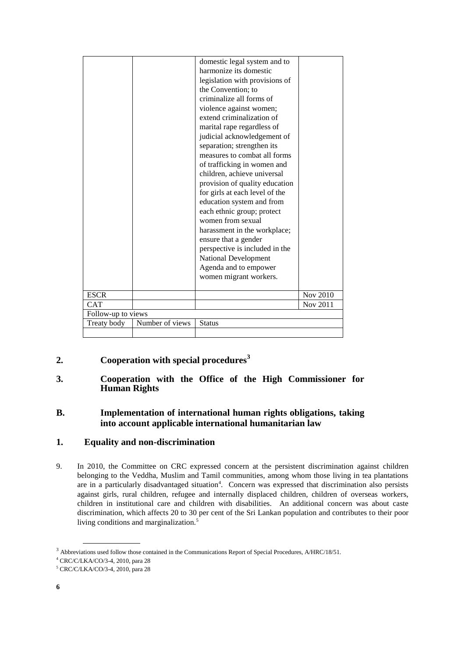|                    |                 | domestic legal system and to<br>harmonize its domestic<br>legislation with provisions of<br>the Convention; to<br>criminalize all forms of<br>violence against women;<br>extend criminalization of<br>marital rape regardless of<br>judicial acknowledgement of<br>separation; strengthen its<br>measures to combat all forms<br>of trafficking in women and<br>children, achieve universal<br>provision of quality education<br>for girls at each level of the<br>education system and from<br>each ethnic group; protect<br>women from sexual<br>harassment in the workplace;<br>ensure that a gender<br>perspective is included in the |          |
|--------------------|-----------------|-------------------------------------------------------------------------------------------------------------------------------------------------------------------------------------------------------------------------------------------------------------------------------------------------------------------------------------------------------------------------------------------------------------------------------------------------------------------------------------------------------------------------------------------------------------------------------------------------------------------------------------------|----------|
|                    |                 |                                                                                                                                                                                                                                                                                                                                                                                                                                                                                                                                                                                                                                           |          |
|                    |                 | <b>National Development</b>                                                                                                                                                                                                                                                                                                                                                                                                                                                                                                                                                                                                               |          |
|                    |                 | Agenda and to empower<br>women migrant workers.                                                                                                                                                                                                                                                                                                                                                                                                                                                                                                                                                                                           |          |
|                    |                 |                                                                                                                                                                                                                                                                                                                                                                                                                                                                                                                                                                                                                                           |          |
| <b>ESCR</b>        |                 |                                                                                                                                                                                                                                                                                                                                                                                                                                                                                                                                                                                                                                           | Nov 2010 |
| <b>CAT</b>         |                 |                                                                                                                                                                                                                                                                                                                                                                                                                                                                                                                                                                                                                                           | Nov 2011 |
| Follow-up to views |                 |                                                                                                                                                                                                                                                                                                                                                                                                                                                                                                                                                                                                                                           |          |
| Treaty body        | Number of views | <b>Status</b>                                                                                                                                                                                                                                                                                                                                                                                                                                                                                                                                                                                                                             |          |
|                    |                 |                                                                                                                                                                                                                                                                                                                                                                                                                                                                                                                                                                                                                                           |          |

# **2. Cooperation with special procedures<sup>3</sup>**

## **3. Cooperation with the Office of the High Commissioner for Human Rights**

# **B. Implementation of international human rights obligations, taking into account applicable international humanitarian law**

# **1. Equality and non-discrimination**

9. In 2010, the Committee on CRC expressed concern at the persistent discrimination against children belonging to the Veddha, Muslim and Tamil communities, among whom those living in tea plantations are in a particularly disadvantaged situation<sup>4</sup>. Concern was expressed that discrimination also persists against girls, rural children, refugee and internally displaced children, children of overseas workers, children in institutional care and children with disabilities. An additional concern was about caste discrimination, which affects 20 to 30 per cent of the Sri Lankan population and contributes to their poor living conditions and marginalization.<sup>5</sup>

<sup>3</sup> Abbreviations used follow those contained in the Communications Report of Special Procedures, A/HRC/18/51.

<sup>4</sup> CRC/C/LKA/CO/3-4, 2010, para 28

<sup>5</sup> CRC/C/LKA/CO/3-4, 2010, para 28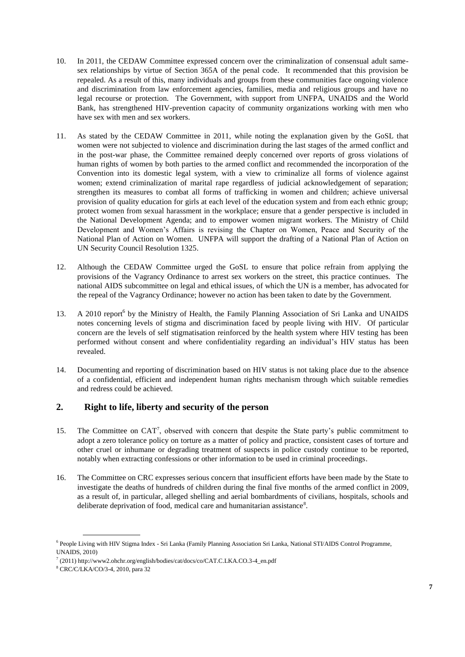- 10. In 2011, the CEDAW Committee expressed concern over the criminalization of consensual adult samesex relationships by virtue of Section 365A of the penal code. It recommended that this provision be repealed. As a result of this, many individuals and groups from these communities face ongoing violence and discrimination from law enforcement agencies, families, media and religious groups and have no legal recourse or protection. The Government, with support from UNFPA, UNAIDS and the World Bank, has strengthened HIV-prevention capacity of community organizations working with men who have sex with men and sex workers.
- 11. As stated by the CEDAW Committee in 2011, while noting the explanation given by the GoSL that women were not subjected to violence and discrimination during the last stages of the armed conflict and in the post-war phase, the Committee remained deeply concerned over reports of gross violations of human rights of women by both parties to the armed conflict and recommended the incorporation of the Convention into its domestic legal system, with a view to criminalize all forms of violence against women; extend criminalization of marital rape regardless of judicial acknowledgement of separation; strengthen its measures to combat all forms of trafficking in women and children; achieve universal provision of quality education for girls at each level of the education system and from each ethnic group; protect women from sexual harassment in the workplace; ensure that a gender perspective is included in the National Development Agenda; and to empower women migrant workers. The Ministry of Child Development and Women"s Affairs is revising the Chapter on Women, Peace and Security of the National Plan of Action on Women. UNFPA will support the drafting of a National Plan of Action on UN Security Council Resolution 1325.
- 12. Although the CEDAW Committee urged the GoSL to ensure that police refrain from applying the provisions of the Vagrancy Ordinance to arrest sex workers on the street, this practice continues. The national AIDS subcommittee on legal and ethical issues, of which the UN is a member, has advocated for the repeal of the Vagrancy Ordinance; however no action has been taken to date by the Government.
- 13. A 2010 report<sup>6</sup> by the Ministry of Health, the Family Planning Association of Sri Lanka and UNAIDS notes concerning levels of stigma and discrimination faced by people living with HIV. Of particular concern are the levels of self stigmatisation reinforced by the health system where HIV testing has been performed without consent and where confidentiality regarding an individual"s HIV status has been revealed.
- 14. Documenting and reporting of discrimination based on HIV status is not taking place due to the absence of a confidential, efficient and independent human rights mechanism through which suitable remedies and redress could be achieved.

## **2. Right to life, liberty and security of the person**

- 15. The Committee on CAT<sup>7</sup>, observed with concern that despite the State party's public commitment to adopt a zero tolerance policy on torture as a matter of policy and practice, consistent cases of torture and other cruel or inhumane or degrading treatment of suspects in police custody continue to be reported, notably when extracting confessions or other information to be used in criminal proceedings.
- 16. The Committee on CRC expresses serious concern that insufficient efforts have been made by the State to investigate the deaths of hundreds of children during the final five months of the armed conflict in 2009, as a result of, in particular, alleged shelling and aerial bombardments of civilians, hospitals, schools and deliberate deprivation of food, medical care and humanitarian assistance<sup>8</sup>.

<sup>&</sup>lt;sup>6</sup> People Living with HIV Stigma Index - Sri Lanka (Family Planning Association Sri Lanka, National STI/AIDS Control Programme, UNAIDS, 2010)

<sup>7</sup> (2011) http://www2.ohchr.org/english/bodies/cat/docs/co/CAT.C.LKA.CO.3-4\_en.pdf

<sup>8</sup> CRC/C/LKA/CO/3-4, 2010, para 32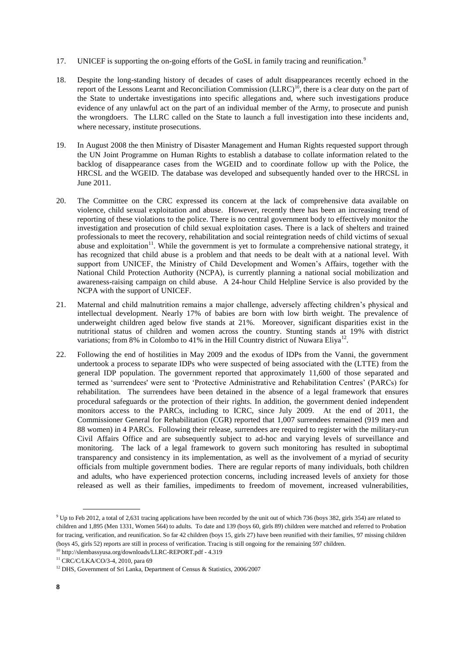- 17. UNICEF is supporting the on-going efforts of the GoSL in family tracing and reunification.<sup>9</sup>
- 18. Despite the long-standing history of decades of cases of adult disappearances recently echoed in the report of the Lessons Learnt and Reconciliation Commission (LLRC)<sup>10</sup>, there is a clear duty on the part of the State to undertake investigations into specific allegations and, where such investigations produce evidence of any unlawful act on the part of an individual member of the Army, to prosecute and punish the wrongdoers. The LLRC called on the State to launch a full investigation into these incidents and, where necessary, institute prosecutions.
- 19. In August 2008 the then Ministry of Disaster Management and Human Rights requested support through the UN Joint Programme on Human Rights to establish a database to collate information related to the backlog of disappearance cases from the WGEID and to coordinate follow up with the Police, the HRCSL and the WGEID. The database was developed and subsequently handed over to the HRCSL in June 2011.
- 20. The Committee on the CRC expressed its concern at the lack of comprehensive data available on violence, child sexual exploitation and abuse. However, recently there has been an increasing trend of reporting of these violations to the police. There is no central government body to effectively monitor the investigation and prosecution of child sexual exploitation cases. There is a lack of shelters and trained professionals to meet the recovery, rehabilitation and social reintegration needs of child victims of sexual abuse and exploitation $11$ . While the government is yet to formulate a comprehensive national strategy, it has recognized that child abuse is a problem and that needs to be dealt with at a national level. With support from UNICEF, the Ministry of Child Development and Women's Affairs, together with the National Child Protection Authority (NCPA), is currently planning a national social mobilization and awareness-raising campaign on child abuse. A 24-hour Child Helpline Service is also provided by the NCPA with the support of UNICEF.
- 21. Maternal and child malnutrition remains a major challenge, adversely affecting children"s physical and intellectual development. Nearly 17% of babies are born with low birth weight. The prevalence of underweight children aged below five stands at 21%. Moreover, significant disparities exist in the nutritional status of children and women across the country. Stunting stands at 19% with district variations; from 8% in Colombo to 41% in the Hill Country district of Nuwara Eliya<sup>12</sup>.
- 22. Following the end of hostilities in May 2009 and the exodus of IDPs from the Vanni, the government undertook a process to separate IDPs who were suspected of being associated with the (LTTE) from the general IDP population. The government reported that approximately 11,600 of those separated and termed as "surrendees' were sent to "Protective Administrative and Rehabilitation Centres" (PARCs) for rehabilitation. The surrendees have been detained in the absence of a legal framework that ensures procedural safeguards or the protection of their rights. In addition, the government denied independent monitors access to the PARCs, including to ICRC, since July 2009. At the end of 2011, the Commissioner General for Rehabilitation (CGR) reported that 1,007 surrendees remained (919 men and 88 women) in 4 PARCs. Following their release, surrendees are required to register with the military-run Civil Affairs Office and are subsequently subject to ad-hoc and varying levels of surveillance and monitoring. The lack of a legal framework to govern such monitoring has resulted in suboptimal transparency and consistency in its implementation, as well as the involvement of a myriad of security officials from multiple government bodies. There are regular reports of many individuals, both children and adults, who have experienced protection concerns, including increased levels of anxiety for those released as well as their families, impediments to freedom of movement, increased vulnerabilities,

<sup>9</sup> Up to Feb 2012, a total of 2,631 tracing applications have been recorded by the unit out of which 736 (boys 382, girls 354) are related to children and 1,895 (Men 1331, Women 564) to adults. To date and 139 (boys 60, girls 89) children were matched and referred to Probation for tracing, verification, and reunification. So far 42 children (boys 15, girls 27) have been reunified with their families, 97 missing children (boys 45, girls 52) reports are still in process of verification. Tracing is still ongoing for the remaining 597 children.

<sup>10</sup> <http://slembassyusa.org/downloads/LLRC-REPORT.pdf> - 4.319

<sup>11</sup> CRC/C/LKA/CO/3-4, 2010, para 69

<sup>&</sup>lt;sup>12</sup> DHS, Government of Sri Lanka, Department of Census & Statistics, 2006/2007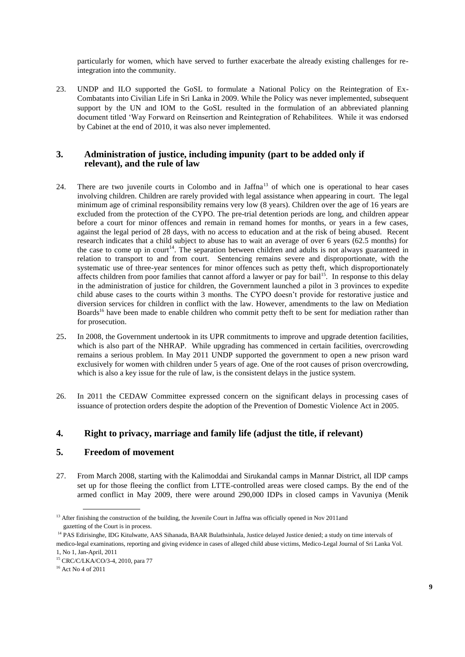particularly for women, which have served to further exacerbate the already existing challenges for reintegration into the community.

23. UNDP and ILO supported the GoSL to formulate a National Policy on the Reintegration of Ex-Combatants into Civilian Life in Sri Lanka in 2009. While the Policy was never implemented, subsequent support by the UN and IOM to the GoSL resulted in the formulation of an abbreviated planning document titled "Way Forward on Reinsertion and Reintegration of Rehabilitees. While it was endorsed by Cabinet at the end of 2010, it was also never implemented.

#### **3. Administration of justice, including impunity (part to be added only if relevant), and the rule of law**

- 24. There are two juvenile courts in Colombo and in Jaffna<sup>13</sup> of which one is operational to hear cases involving children. Children are rarely provided with legal assistance when appearing in court. The legal minimum age of criminal responsibility remains very low (8 years). Children over the age of 16 years are excluded from the protection of the CYPO. The pre-trial detention periods are long, and children appear before a court for minor offences and remain in remand homes for months, or years in a few cases, against the legal period of 28 days, with no access to education and at the risk of being abused. Recent research indicates that a child subject to abuse has to wait an average of over 6 years (62.5 months) for the case to come up in court<sup>14</sup>. The separation between children and adults is not always guaranteed in relation to transport to and from court. Sentencing remains severe and disproportionate, with the systematic use of three-year sentences for minor offences such as petty theft, which disproportionately affects children from poor families that cannot afford a lawyer or pay for bail<sup>15</sup>. In response to this delay in the administration of justice for children, the Government launched a pilot in 3 provinces to expedite child abuse cases to the courts within 3 months. The CYPO doesn"t provide for restorative justice and diversion services for children in conflict with the law. However, amendments to the law on Mediation Boards<sup>16</sup> have been made to enable children who commit petty theft to be sent for mediation rather than for prosecution.
- 25. In 2008, the Government undertook in its UPR commitments to improve and upgrade detention facilities, which is also part of the NHRAP. While upgrading has commenced in certain facilities, overcrowding remains a serious problem. In May 2011 UNDP supported the government to open a new prison ward exclusively for women with children under 5 years of age. One of the root causes of prison overcrowding, which is also a key issue for the rule of law, is the consistent delays in the justice system.
- 26. In 2011 the CEDAW Committee expressed concern on the significant delays in processing cases of issuance of protection orders despite the adoption of the Prevention of Domestic Violence Act in 2005.

#### **4. Right to privacy, marriage and family life (adjust the title, if relevant)**

#### **5. Freedom of movement**

27. From March 2008, starting with the Kalimoddai and Sirukandal camps in Mannar District, all IDP camps set up for those fleeing the conflict from LTTE-controlled areas were closed camps. By the end of the armed conflict in May 2009, there were around 290,000 IDPs in closed camps in Vavuniya (Menik

<sup>&</sup>lt;sup>13</sup> After finishing the construction of the building, the Juvenile Court in Jaffna was officially opened in Nov 2011and gazetting of the Court is in process.

<sup>&</sup>lt;sup>14</sup> PAS Edirisinghe, IDG Kitulwatte, AAS Sihanada, BAAR Bulathsinhala, Justice delayed Justice denied; a study on time intervals of medico-legal examinations, reporting and giving evidence in cases of alleged child abuse victims, Medico-Legal Journal of Sri Lanka Vol.

<sup>1,</sup> No 1, Jan-April, 2011

<sup>15</sup> CRC/C/LKA/CO/3-4, 2010, para 77

<sup>&</sup>lt;sup>16</sup> Act No 4 of 2011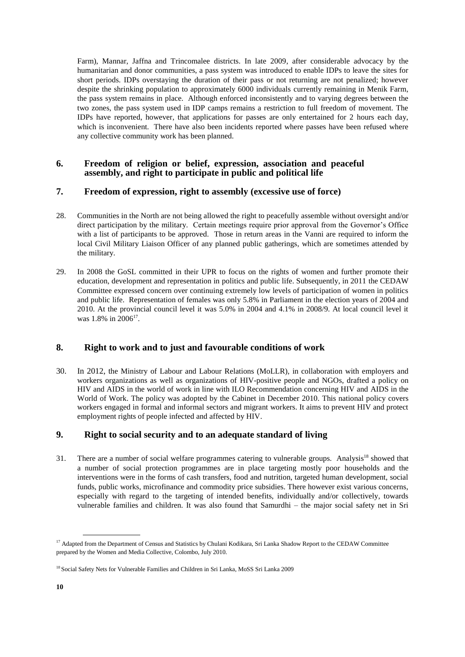Farm), Mannar, Jaffna and Trincomalee districts. In late 2009, after considerable advocacy by the humanitarian and donor communities, a pass system was introduced to enable IDPs to leave the sites for short periods. IDPs overstaying the duration of their pass or not returning are not penalized; however despite the shrinking population to approximately 6000 individuals currently remaining in Menik Farm, the pass system remains in place. Although enforced inconsistently and to varying degrees between the two zones, the pass system used in IDP camps remains a restriction to full freedom of movement. The IDPs have reported, however, that applications for passes are only entertained for 2 hours each day, which is inconvenient. There have also been incidents reported where passes have been refused where any collective community work has been planned.

#### **6. Freedom of religion or belief, expression, association and peaceful assembly, and right to participate in public and political life**

#### **7. Freedom of expression, right to assembly (excessive use of force)**

- 28. Communities in the North are not being allowed the right to peacefully assemble without oversight and/or direct participation by the military. Certain meetings require prior approval from the Governor's Office with a list of participants to be approved. Those in return areas in the Vanni are required to inform the local Civil Military Liaison Officer of any planned public gatherings, which are sometimes attended by the military.
- 29. In 2008 the GoSL committed in their UPR to focus on the rights of women and further promote their education, development and representation in politics and public life. Subsequently, in 2011 the CEDAW Committee expressed concern over continuing extremely low levels of participation of women in politics and public life. Representation of females was only 5.8% in Parliament in the election years of 2004 and 2010. At the provincial council level it was 5.0% in 2004 and 4.1% in 2008/9. At local council level it was  $1.8\%$  in  $2006^{17}$ .

## **8. Right to work and to just and favourable conditions of work**

30. In 2012, the Ministry of Labour and Labour Relations (MoLLR), in collaboration with employers and workers organizations as well as organizations of HIV-positive people and NGOs, drafted a policy on HIV and AIDS in the world of work in line with ILO Recommendation concerning HIV and AIDS in the World of Work. The policy was adopted by the Cabinet in December 2010. This national policy covers workers engaged in formal and informal sectors and migrant workers. It aims to prevent HIV and protect employment rights of people infected and affected by HIV.

## **9. Right to social security and to an adequate standard of living**

31. There are a number of social welfare programmes catering to vulnerable groups. Analysis<sup>18</sup> showed that a number of social protection programmes are in place targeting mostly poor households and the interventions were in the forms of cash transfers, food and nutrition, targeted human development, social funds, public works, microfinance and commodity price subsidies. There however exist various concerns, especially with regard to the targeting of intended benefits, individually and/or collectively, towards vulnerable families and children. It was also found that Samurdhi – the major social safety net in Sri

<sup>&</sup>lt;sup>17</sup> Adapted from the Department of Census and Statistics by Chulani Kodikara, Sri Lanka Shadow Report to the CEDAW Committee prepared by the Women and Media Collective, Colombo, July 2010.

<sup>&</sup>lt;sup>18</sup> Social Safety Nets for Vulnerable Families and Children in Sri Lanka, MoSS Sri Lanka 2009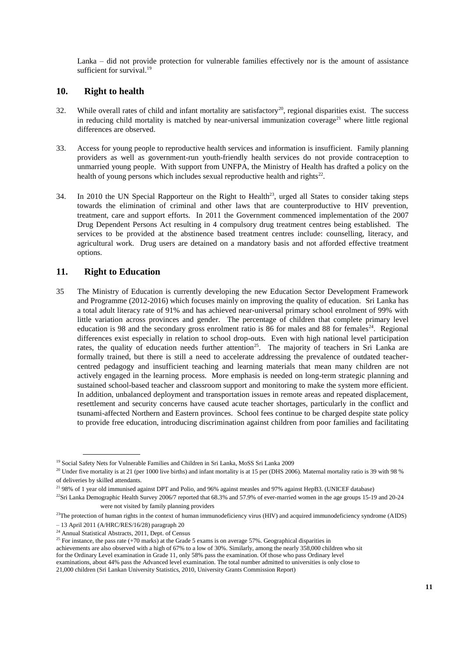Lanka – did not provide protection for vulnerable families effectively nor is the amount of assistance sufficient for survival. $19$ 

#### **10. Right to health**

- 32. While overall rates of child and infant mortality are satisfactory<sup>20</sup>, regional disparities exist. The success in reducing child mortality is matched by near-universal immunization coverage<sup>21</sup> where little regional differences are observed.
- 33. Access for young people to reproductive health services and information is insufficient. Family planning providers as well as government-run youth-friendly health services do not provide contraception to unmarried young people. With support from UNFPA, the Ministry of Health has drafted a policy on the health of young persons which includes sexual reproductive health and rights $22$ .
- 34. In 2010 the UN Special Rapporteur on the Right to Health<sup>23</sup>, urged all States to consider taking steps towards the elimination of criminal and other laws that are counterproductive to HIV prevention, treatment, care and support efforts. In 2011 the Government commenced implementation of the 2007 Drug Dependent Persons Act resulting in 4 compulsory drug treatment centres being established. The services to be provided at the abstinence based treatment centres include: counselling, literacy, and agricultural work. Drug users are detained on a mandatory basis and not afforded effective treatment options.

#### **11. Right to Education**

35 The Ministry of Education is currently developing the new Education Sector Development Framework and Programme (2012-2016) which focuses mainly on improving the quality of education. Sri Lanka has a total adult literacy rate of 91% and has achieved near-universal primary school enrolment of 99% with little variation across provinces and gender. The percentage of children that complete primary level education is 98 and the secondary gross enrolment ratio is 86 for males and 88 for females<sup>24</sup>. Regional differences exist especially in relation to school drop-outs. Even with high national level participation rates, the quality of education needs further attention<sup>25</sup>. The majority of teachers in Sri Lanka are formally trained, but there is still a need to accelerate addressing the prevalence of outdated teachercentred pedagogy and insufficient teaching and learning materials that mean many children are not actively engaged in the learning process. More emphasis is needed on long-term strategic planning and sustained school-based teacher and classroom support and monitoring to make the system more efficient. In addition, unbalanced deployment and transportation issues in remote areas and repeated displacement, resettlement and security concerns have caused acute teacher shortages, particularly in the conflict and tsunami-affected Northern and Eastern provinces. School fees continue to be charged despite state policy to provide free education, introducing discrimination against children from poor families and facilitating

<sup>&</sup>lt;sup>19</sup> Social Safety Nets for Vulnerable Families and Children in Sri Lanka, MoSS Sri Lanka 2009

 $20$  Under five mortality is at 21 (per 1000 live births) and infant mortality is at 15 per (DHS 2006). Maternal mortality ratio is 39 with 98 % of deliveries by skilled attendants.

<sup>&</sup>lt;sup>21</sup> 98% of 1 year old immunised against DPT and Polio, and 96% against measles and 97% against HepB3. (UNICEF database)

 $22$ Sri Lanka Demographic Health Survey 2006/7 reported that 68.3% and 57.9% of ever-married women in the age groups 15-19 and 20-24 were not visited by family planning providers

 $^{23}$ The protection of human rights in the context of human immunodeficiency virus (HIV) and acquired immunodeficiency syndrome (AIDS)

<sup>–</sup> 13 April 2011 (A/HRC/RES/16/28) paragraph 20

<sup>&</sup>lt;sup>24</sup> Annual Statistical Abstracts, 2011, Dept. of Census

<sup>&</sup>lt;sup>25</sup> For instance, the pass rate (+70 marks) at the Grade 5 exams is on average 57%. Geographical disparities in

achievements are also observed with a high of 67% to a low of 30%. Similarly, among the nearly 358,000 children who sit

for the Ordinary Level examination in Grade 11, only 58% pass the examination. Of those who pass Ordinary level

examinations, about 44% pass the Advanced level examination. The total number admitted to universities is only close to

<sup>21,000</sup> children (Sri Lankan University Statistics, 2010, University Grants Commission Report)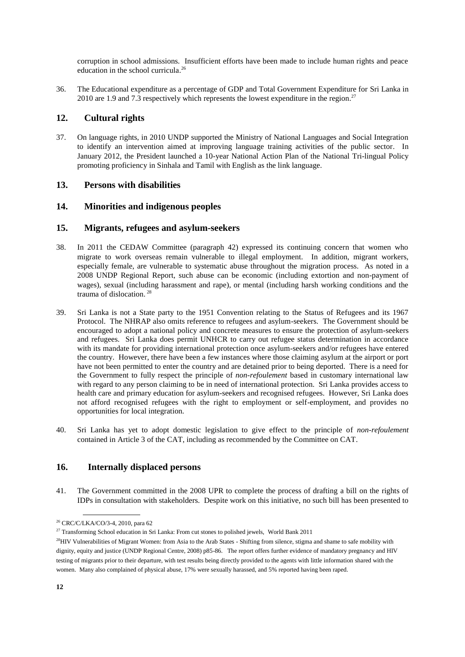corruption in school admissions. Insufficient efforts have been made to include human rights and peace education in the school curricula.<sup>26</sup>

36. The Educational expenditure as a percentage of GDP and Total Government Expenditure for Sri Lanka in 2010 are 1.9 and 7.3 respectively which represents the lowest expenditure in the region.<sup>27</sup>

#### **12. Cultural rights**

37. On language rights, in 2010 UNDP supported the Ministry of National Languages and Social Integration to identify an intervention aimed at improving language training activities of the public sector. In January 2012, the President launched a 10-year National Action Plan of the National Tri-lingual Policy promoting proficiency in Sinhala and Tamil with English as the link language.

#### **13. Persons with disabilities**

#### **14. Minorities and indigenous peoples**

#### **15. Migrants, refugees and asylum-seekers**

- 38. In 2011 the CEDAW Committee (paragraph 42) expressed its continuing concern that women who migrate to work overseas remain vulnerable to illegal employment. In addition, migrant workers, especially female, are vulnerable to systematic abuse throughout the migration process. As noted in a 2008 UNDP Regional Report, such abuse can be economic (including extortion and non-payment of wages), sexual (including harassment and rape), or mental (including harsh working conditions and the trauma of dislocation. 28
- 39. Sri Lanka is not a State party to the 1951 Convention relating to the Status of Refugees and its 1967 Protocol. The NHRAP also omits reference to refugees and asylum-seekers. The Government should be encouraged to adopt a national policy and concrete measures to ensure the protection of asylum-seekers and refugees. Sri Lanka does permit UNHCR to carry out refugee status determination in accordance with its mandate for providing international protection once asylum-seekers and/or refugees have entered the country. However, there have been a few instances where those claiming asylum at the airport or port have not been permitted to enter the country and are detained prior to being deported. There is a need for the Government to fully respect the principle of *non-refoulement* based in customary international law with regard to any person claiming to be in need of international protection. Sri Lanka provides access to health care and primary education for asylum-seekers and recognised refugees. However, Sri Lanka does not afford recognised refugees with the right to employment or self-employment, and provides no opportunities for local integration.
- 40. Sri Lanka has yet to adopt domestic legislation to give effect to the principle of *non-refoulement* contained in Article 3 of the CAT, including as recommended by the Committee on CAT.

#### **16. Internally displaced persons**

41. The Government committed in the 2008 UPR to complete the process of drafting a bill on the rights of IDPs in consultation with stakeholders. Despite work on this initiative, no such bill has been presented to

<sup>26</sup> CRC/C/LKA/CO/3-4, 2010, para 62

<sup>&</sup>lt;sup>27</sup> Transforming School education in Sri Lanka: From cut stones to polished jewels, World Bank 2011

<sup>&</sup>lt;sup>28</sup>HIV Vulnerabilities of Migrant Women: from Asia to the Arab States - Shifting from silence, stigma and shame to safe mobility with dignity, equity and justice (UNDP Regional Centre, 2008) p85-86. The report offers further evidence of mandatory pregnancy and HIV testing of migrants prior to their departure, with test results being directly provided to the agents with little information shared with the women. Many also complained of physical abuse, 17% were sexually harassed, and 5% reported having been raped.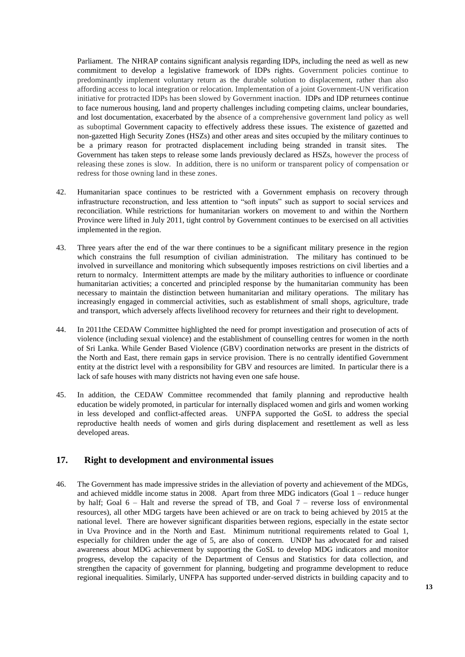Parliament. The NHRAP contains significant analysis regarding IDPs, including the need as well as new commitment to develop a legislative framework of IDPs rights. Government policies continue to predominantly implement voluntary return as the durable solution to displacement, rather than also affording access to local integration or relocation. Implementation of a joint Government-UN verification initiative for protracted IDPs has been slowed by Government inaction. IDPs and IDP returnees continue to face numerous housing, land and property challenges including competing claims, unclear boundaries, and lost documentation, exacerbated by the absence of a comprehensive government land policy as well as suboptimal Government capacity to effectively address these issues. The existence of gazetted and non-gazetted High Security Zones (HSZs) and other areas and sites occupied by the military continues to be a primary reason for protracted displacement including being stranded in transit sites. The Government has taken steps to release some lands previously declared as HSZs, however the process of releasing these zones is slow. In addition, there is no uniform or transparent policy of compensation or redress for those owning land in these zones.

- 42. Humanitarian space continues to be restricted with a Government emphasis on recovery through infrastructure reconstruction, and less attention to "soft inputs" such as support to social services and reconciliation. While restrictions for humanitarian workers on movement to and within the Northern Province were lifted in July 2011, tight control by Government continues to be exercised on all activities implemented in the region.
- 43. Three years after the end of the war there continues to be a significant military presence in the region which constrains the full resumption of civilian administration. The military has continued to be involved in surveillance and monitoring which subsequently imposes restrictions on civil liberties and a return to normalcy. Intermittent attempts are made by the military authorities to influence or coordinate humanitarian activities; a concerted and principled response by the humanitarian community has been necessary to maintain the distinction between humanitarian and military operations. The military has increasingly engaged in commercial activities, such as establishment of small shops, agriculture, trade and transport, which adversely affects livelihood recovery for returnees and their right to development.
- 44. In 2011the CEDAW Committee highlighted the need for prompt investigation and prosecution of acts of violence (including sexual violence) and the establishment of counselling centres for women in the north of Sri Lanka. While Gender Based Violence (GBV) coordination networks are present in the districts of the North and East, there remain gaps in service provision. There is no centrally identified Government entity at the district level with a responsibility for GBV and resources are limited. In particular there is a lack of safe houses with many districts not having even one safe house.
- 45. In addition, the CEDAW Committee recommended that family planning and reproductive health education be widely promoted, in particular for internally displaced women and girls and women working in less developed and conflict-affected areas. UNFPA supported the GoSL to address the special reproductive health needs of women and girls during displacement and resettlement as well as less developed areas.

#### **17. Right to development and environmental issues**

46. The Government has made impressive strides in the alleviation of poverty and achievement of the MDGs, and achieved middle income status in 2008. Apart from three MDG indicators (Goal 1 – reduce hunger by half; Goal 6 – Halt and reverse the spread of TB, and Goal 7 – reverse loss of environmental resources), all other MDG targets have been achieved or are on track to being achieved by 2015 at the national level. There are however significant disparities between regions, especially in the estate sector in Uva Province and in the North and East. Minimum nutritional requirements related to Goal 1, especially for children under the age of 5, are also of concern. UNDP has advocated for and raised awareness about MDG achievement by supporting the GoSL to develop MDG indicators and monitor progress, develop the capacity of the Department of Census and Statistics for data collection, and strengthen the capacity of government for planning, budgeting and programme development to reduce regional inequalities. Similarly, UNFPA has supported under-served districts in building capacity and to